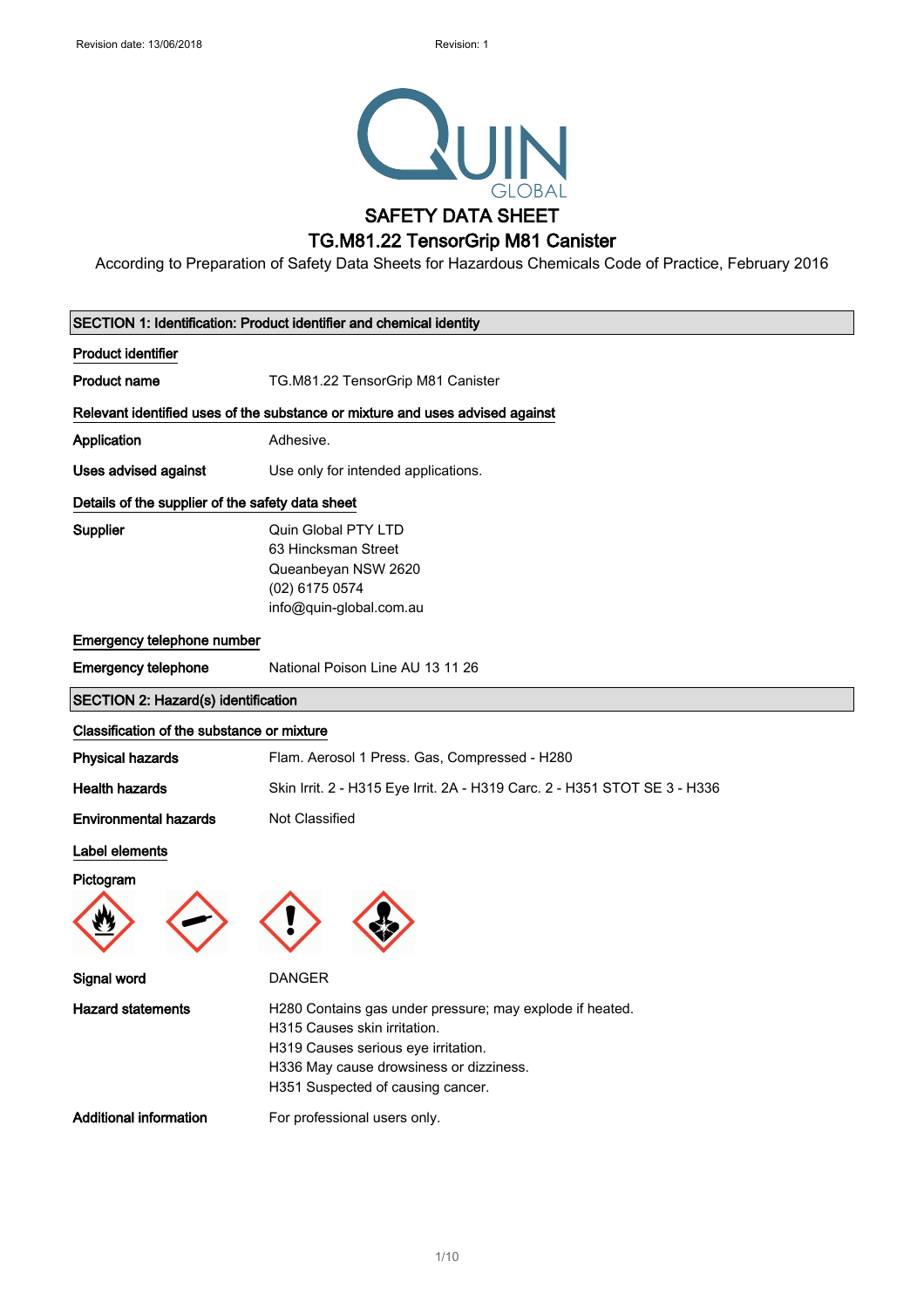

According to Preparation of Safety Data Sheets for Hazardous Chemicals Code of Practice, February 2016

| SECTION 1: Identification: Product identifier and chemical identity |                                                                                                                                                                                                                 |  |
|---------------------------------------------------------------------|-----------------------------------------------------------------------------------------------------------------------------------------------------------------------------------------------------------------|--|
| <b>Product identifier</b>                                           |                                                                                                                                                                                                                 |  |
| <b>Product name</b>                                                 | TG.M81.22 TensorGrip M81 Canister                                                                                                                                                                               |  |
|                                                                     | Relevant identified uses of the substance or mixture and uses advised against                                                                                                                                   |  |
| Application                                                         | Adhesive.                                                                                                                                                                                                       |  |
| Uses advised against                                                | Use only for intended applications.                                                                                                                                                                             |  |
| Details of the supplier of the safety data sheet                    |                                                                                                                                                                                                                 |  |
| <b>Supplier</b>                                                     | Quin Global PTY LTD<br>63 Hincksman Street<br>Queanbeyan NSW 2620<br>(02) 6175 0574<br>info@quin-global.com.au                                                                                                  |  |
| Emergency telephone number                                          |                                                                                                                                                                                                                 |  |
| <b>Emergency telephone</b>                                          | National Poison Line AU 13 11 26                                                                                                                                                                                |  |
| SECTION 2: Hazard(s) identification                                 |                                                                                                                                                                                                                 |  |
| Classification of the substance or mixture                          |                                                                                                                                                                                                                 |  |
| <b>Physical hazards</b>                                             | Flam. Aerosol 1 Press. Gas, Compressed - H280                                                                                                                                                                   |  |
| <b>Health hazards</b>                                               | Skin Irrit. 2 - H315 Eye Irrit. 2A - H319 Carc. 2 - H351 STOT SE 3 - H336                                                                                                                                       |  |
| <b>Environmental hazards</b>                                        | Not Classified                                                                                                                                                                                                  |  |
| Label elements                                                      |                                                                                                                                                                                                                 |  |
| Pictogram                                                           |                                                                                                                                                                                                                 |  |
| Signal word                                                         | <b>DANGER</b>                                                                                                                                                                                                   |  |
| <b>Hazard statements</b>                                            | H280 Contains gas under pressure; may explode if heated.<br>H315 Causes skin irritation.<br>H319 Causes serious eye irritation.<br>H336 May cause drowsiness or dizziness.<br>H351 Suspected of causing cancer. |  |
| <b>Additional information</b>                                       | For professional users only.                                                                                                                                                                                    |  |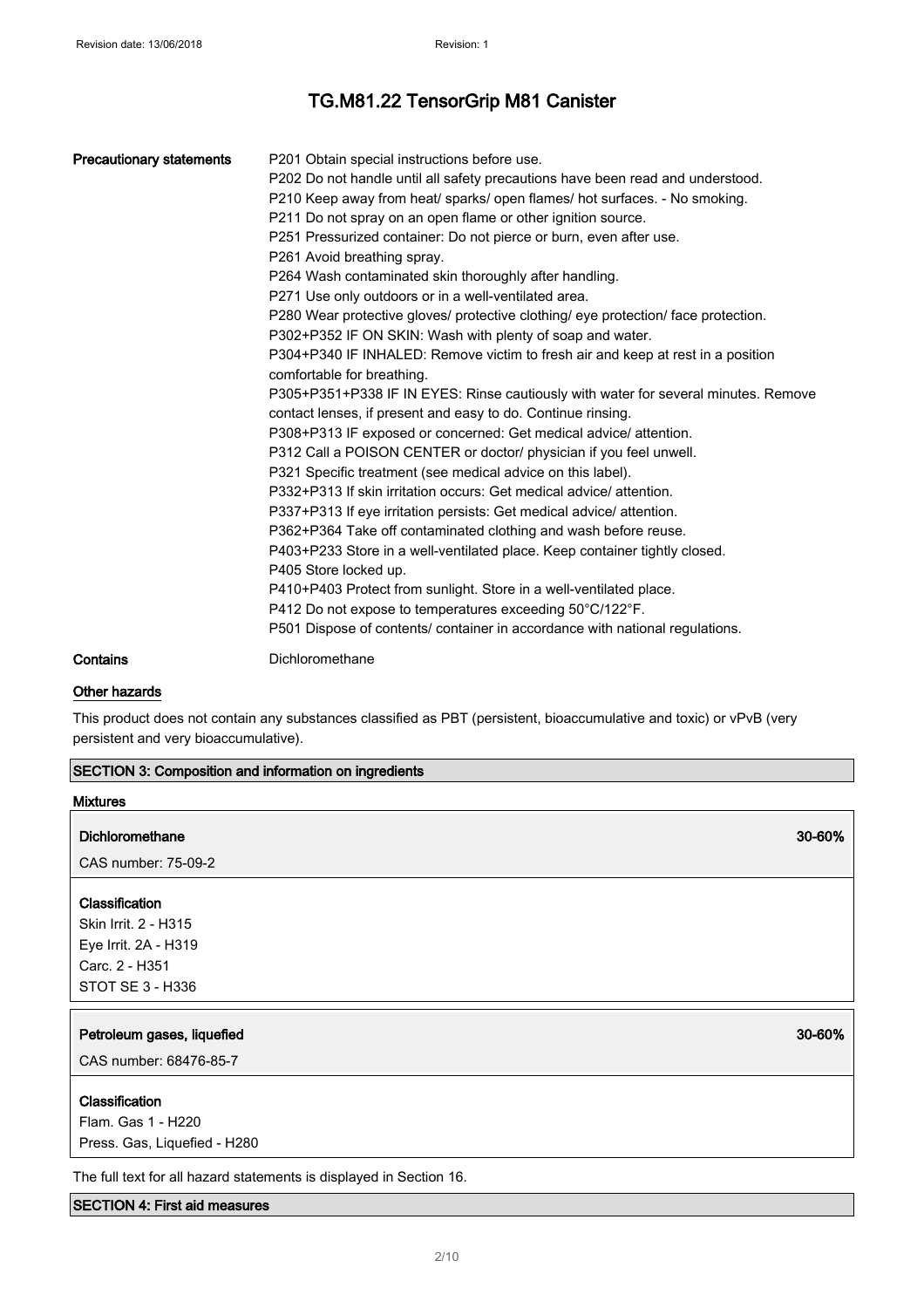| <b>Precautionary statements</b> | P201 Obtain special instructions before use.<br>P202 Do not handle until all safety precautions have been read and understood.<br>P210 Keep away from heat/ sparks/ open flames/ hot surfaces. - No smoking.<br>P211 Do not spray on an open flame or other ignition source.<br>P251 Pressurized container: Do not pierce or burn, even after use.<br>P261 Avoid breathing spray.<br>P264 Wash contaminated skin thoroughly after handling.<br>P271 Use only outdoors or in a well-ventilated area.<br>P280 Wear protective gloves/ protective clothing/ eye protection/ face protection.<br>P302+P352 IF ON SKIN: Wash with plenty of soap and water.<br>P304+P340 IF INHALED: Remove victim to fresh air and keep at rest in a position<br>comfortable for breathing.<br>P305+P351+P338 IF IN EYES: Rinse cautiously with water for several minutes. Remove<br>contact lenses, if present and easy to do. Continue rinsing.<br>P308+P313 IF exposed or concerned: Get medical advice/ attention.<br>P312 Call a POISON CENTER or doctor/ physician if you feel unwell.<br>P321 Specific treatment (see medical advice on this label).<br>P332+P313 If skin irritation occurs: Get medical advice/attention.<br>P337+P313 If eye irritation persists: Get medical advice/ attention.<br>P362+P364 Take off contaminated clothing and wash before reuse.<br>P403+P233 Store in a well-ventilated place. Keep container tightly closed.<br>P405 Store locked up.<br>P410+P403 Protect from sunlight. Store in a well-ventilated place.<br>P412 Do not expose to temperatures exceeding 50°C/122°F.<br>P501 Dispose of contents/ container in accordance with national regulations. |
|---------------------------------|-----------------------------------------------------------------------------------------------------------------------------------------------------------------------------------------------------------------------------------------------------------------------------------------------------------------------------------------------------------------------------------------------------------------------------------------------------------------------------------------------------------------------------------------------------------------------------------------------------------------------------------------------------------------------------------------------------------------------------------------------------------------------------------------------------------------------------------------------------------------------------------------------------------------------------------------------------------------------------------------------------------------------------------------------------------------------------------------------------------------------------------------------------------------------------------------------------------------------------------------------------------------------------------------------------------------------------------------------------------------------------------------------------------------------------------------------------------------------------------------------------------------------------------------------------------------------------------------------------------------------------------------------------------------------------------|
| Contains                        | Dichloromethane                                                                                                                                                                                                                                                                                                                                                                                                                                                                                                                                                                                                                                                                                                                                                                                                                                                                                                                                                                                                                                                                                                                                                                                                                                                                                                                                                                                                                                                                                                                                                                                                                                                                   |

### Other hazards

This product does not contain any substances classified as PBT (persistent, bioaccumulative and toxic) or vPvB (very persistent and very bioaccumulative).

| SECTION 3: Composition and information on ingredients |  |
|-------------------------------------------------------|--|
|-------------------------------------------------------|--|

| <b>Mixtures</b>                                                     |        |
|---------------------------------------------------------------------|--------|
| <b>Dichloromethane</b>                                              | 30-60% |
| CAS number: 75-09-2                                                 |        |
| Classification                                                      |        |
| Skin Irrit. 2 - H315                                                |        |
| Eye Irrit. 2A - H319                                                |        |
| Carc. 2 - H351                                                      |        |
| STOT SE 3 - H336                                                    |        |
|                                                                     |        |
|                                                                     |        |
| Petroleum gases, liquefied                                          | 30-60% |
| CAS number: 68476-85-7                                              |        |
|                                                                     |        |
| Classification<br>Flam. Gas 1 - H220                                |        |
| Press. Gas, Liquefied - H280                                        |        |
| The full text for all hazard statements is displayed in Section 16. |        |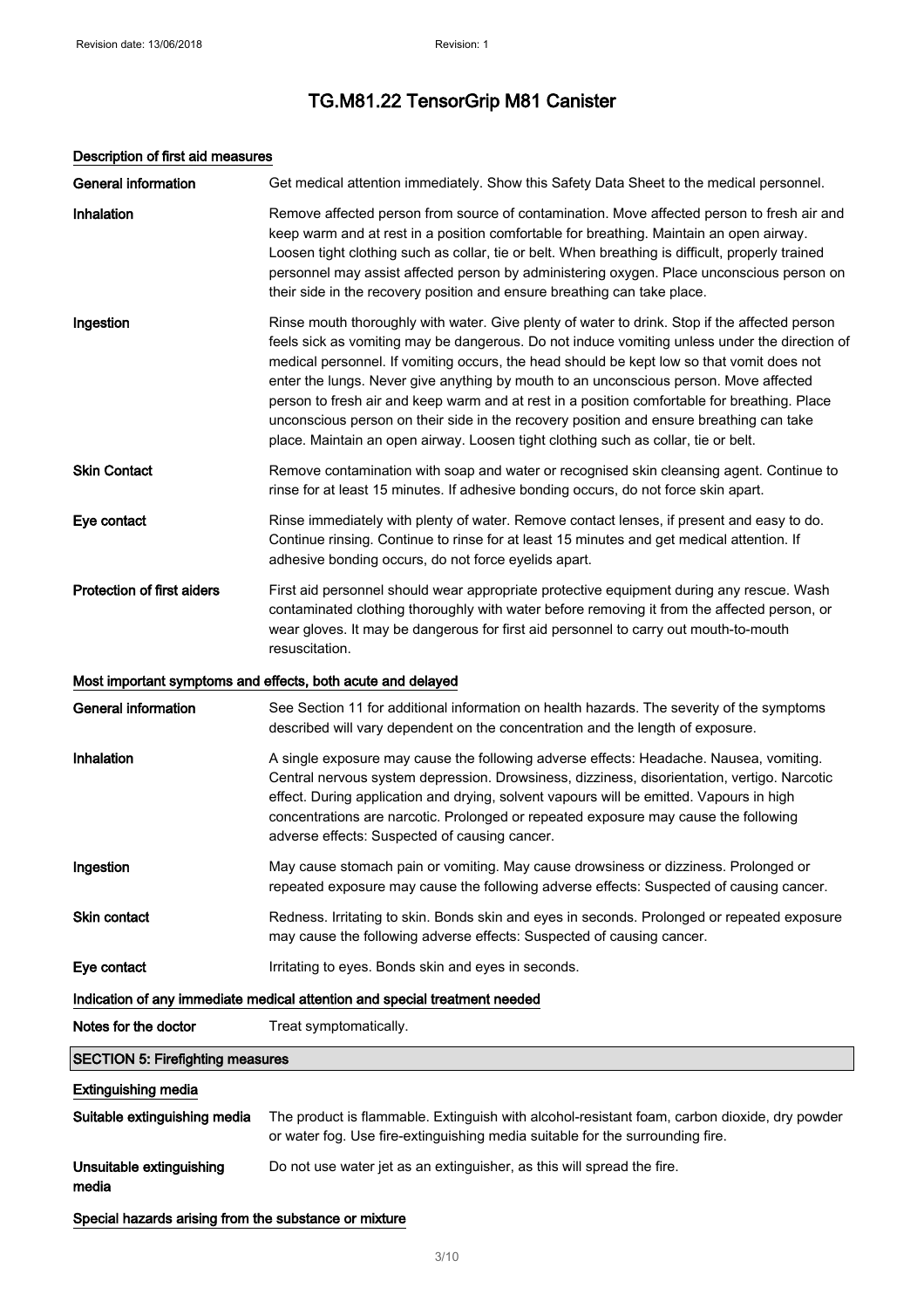### Description of first aid measures

| <b>General information</b>                            | Get medical attention immediately. Show this Safety Data Sheet to the medical personnel.                                                                                                                                                                                                                                                                                                                                                                                                                                                                                                                                                                              |
|-------------------------------------------------------|-----------------------------------------------------------------------------------------------------------------------------------------------------------------------------------------------------------------------------------------------------------------------------------------------------------------------------------------------------------------------------------------------------------------------------------------------------------------------------------------------------------------------------------------------------------------------------------------------------------------------------------------------------------------------|
| Inhalation                                            | Remove affected person from source of contamination. Move affected person to fresh air and<br>keep warm and at rest in a position comfortable for breathing. Maintain an open airway.<br>Loosen tight clothing such as collar, tie or belt. When breathing is difficult, properly trained<br>personnel may assist affected person by administering oxygen. Place unconscious person on<br>their side in the recovery position and ensure breathing can take place.                                                                                                                                                                                                    |
| Ingestion                                             | Rinse mouth thoroughly with water. Give plenty of water to drink. Stop if the affected person<br>feels sick as vomiting may be dangerous. Do not induce vomiting unless under the direction of<br>medical personnel. If vomiting occurs, the head should be kept low so that vomit does not<br>enter the lungs. Never give anything by mouth to an unconscious person. Move affected<br>person to fresh air and keep warm and at rest in a position comfortable for breathing. Place<br>unconscious person on their side in the recovery position and ensure breathing can take<br>place. Maintain an open airway. Loosen tight clothing such as collar, tie or belt. |
| <b>Skin Contact</b>                                   | Remove contamination with soap and water or recognised skin cleansing agent. Continue to<br>rinse for at least 15 minutes. If adhesive bonding occurs, do not force skin apart.                                                                                                                                                                                                                                                                                                                                                                                                                                                                                       |
| Eye contact                                           | Rinse immediately with plenty of water. Remove contact lenses, if present and easy to do.<br>Continue rinsing. Continue to rinse for at least 15 minutes and get medical attention. If<br>adhesive bonding occurs, do not force eyelids apart.                                                                                                                                                                                                                                                                                                                                                                                                                        |
| Protection of first aiders                            | First aid personnel should wear appropriate protective equipment during any rescue. Wash<br>contaminated clothing thoroughly with water before removing it from the affected person, or<br>wear gloves. It may be dangerous for first aid personnel to carry out mouth-to-mouth<br>resuscitation.                                                                                                                                                                                                                                                                                                                                                                     |
|                                                       | Most important symptoms and effects, both acute and delayed                                                                                                                                                                                                                                                                                                                                                                                                                                                                                                                                                                                                           |
| <b>General information</b>                            | See Section 11 for additional information on health hazards. The severity of the symptoms<br>described will vary dependent on the concentration and the length of exposure.                                                                                                                                                                                                                                                                                                                                                                                                                                                                                           |
| Inhalation                                            | A single exposure may cause the following adverse effects: Headache. Nausea, vomiting.<br>Central nervous system depression. Drowsiness, dizziness, disorientation, vertigo. Narcotic<br>effect. During application and drying, solvent vapours will be emitted. Vapours in high<br>concentrations are narcotic. Prolonged or repeated exposure may cause the following<br>adverse effects: Suspected of causing cancer.                                                                                                                                                                                                                                              |
| Ingestion                                             | May cause stomach pain or vomiting. May cause drowsiness or dizziness. Prolonged or<br>repeated exposure may cause the following adverse effects: Suspected of causing cancer.                                                                                                                                                                                                                                                                                                                                                                                                                                                                                        |
| Skin contact                                          | Redness. Irritating to skin. Bonds skin and eyes in seconds. Prolonged or repeated exposure<br>may cause the following adverse effects: Suspected of causing cancer.                                                                                                                                                                                                                                                                                                                                                                                                                                                                                                  |
| Eye contact                                           | Irritating to eyes. Bonds skin and eyes in seconds.                                                                                                                                                                                                                                                                                                                                                                                                                                                                                                                                                                                                                   |
|                                                       | Indication of any immediate medical attention and special treatment needed                                                                                                                                                                                                                                                                                                                                                                                                                                                                                                                                                                                            |
| Notes for the doctor                                  | Treat symptomatically.                                                                                                                                                                                                                                                                                                                                                                                                                                                                                                                                                                                                                                                |
| <b>SECTION 5: Firefighting measures</b>               |                                                                                                                                                                                                                                                                                                                                                                                                                                                                                                                                                                                                                                                                       |
| <b>Extinguishing media</b>                            |                                                                                                                                                                                                                                                                                                                                                                                                                                                                                                                                                                                                                                                                       |
| Suitable extinguishing media                          | The product is flammable. Extinguish with alcohol-resistant foam, carbon dioxide, dry powder<br>or water fog. Use fire-extinguishing media suitable for the surrounding fire.                                                                                                                                                                                                                                                                                                                                                                                                                                                                                         |
| Unsuitable extinguishing<br>media                     | Do not use water jet as an extinguisher, as this will spread the fire.                                                                                                                                                                                                                                                                                                                                                                                                                                                                                                                                                                                                |
| Special hazards arising from the substance or mixture |                                                                                                                                                                                                                                                                                                                                                                                                                                                                                                                                                                                                                                                                       |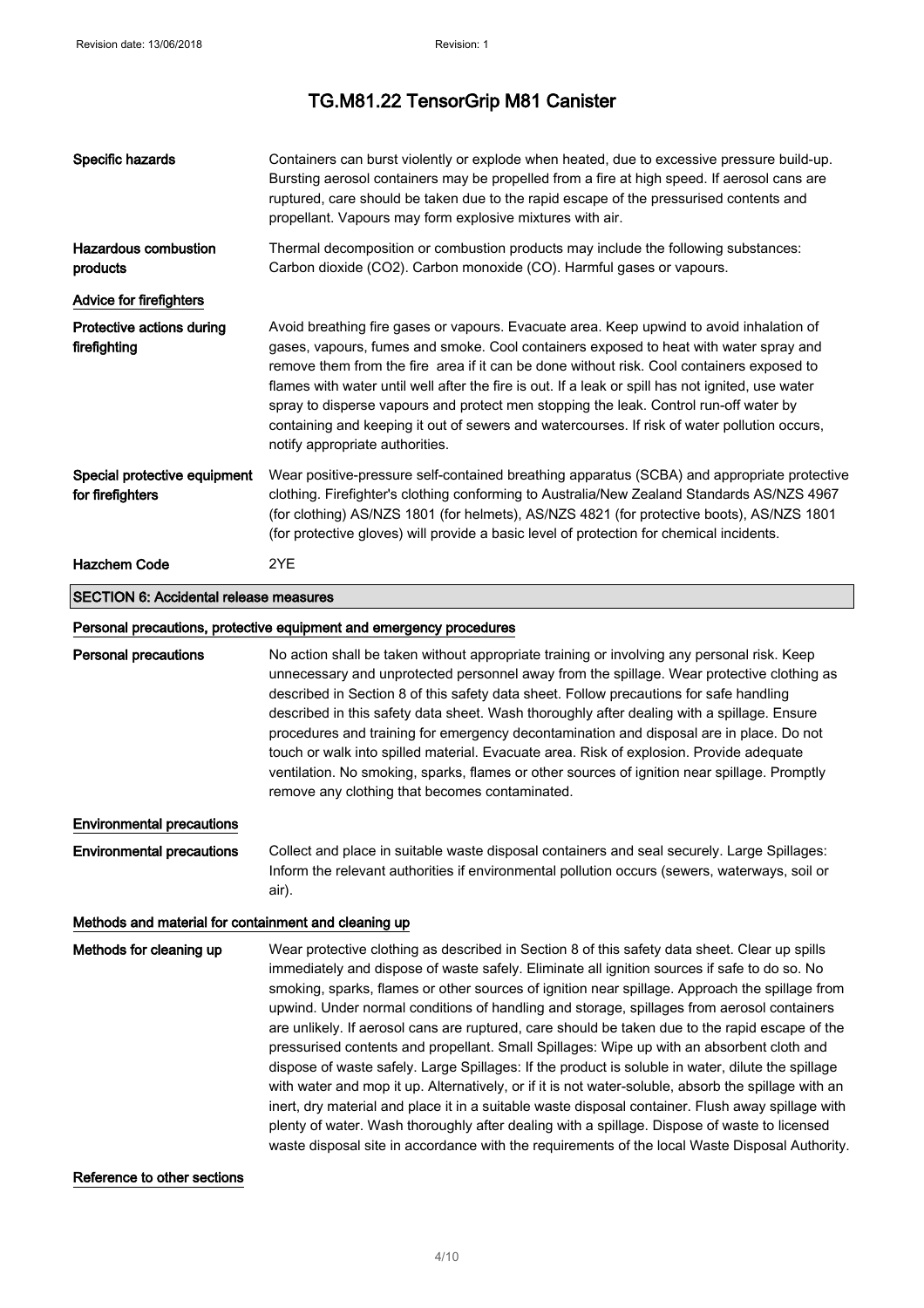| Specific hazards                                     | Containers can burst violently or explode when heated, due to excessive pressure build-up.<br>Bursting aerosol containers may be propelled from a fire at high speed. If aerosol cans are<br>ruptured, care should be taken due to the rapid escape of the pressurised contents and<br>propellant. Vapours may form explosive mixtures with air.                                                                                                                                                                                                                                                                                                                                                                                                                                                                                                                                                               |  |
|------------------------------------------------------|----------------------------------------------------------------------------------------------------------------------------------------------------------------------------------------------------------------------------------------------------------------------------------------------------------------------------------------------------------------------------------------------------------------------------------------------------------------------------------------------------------------------------------------------------------------------------------------------------------------------------------------------------------------------------------------------------------------------------------------------------------------------------------------------------------------------------------------------------------------------------------------------------------------|--|
| <b>Hazardous combustion</b><br>products              | Thermal decomposition or combustion products may include the following substances:<br>Carbon dioxide (CO2). Carbon monoxide (CO). Harmful gases or vapours.                                                                                                                                                                                                                                                                                                                                                                                                                                                                                                                                                                                                                                                                                                                                                    |  |
| Advice for firefighters                              |                                                                                                                                                                                                                                                                                                                                                                                                                                                                                                                                                                                                                                                                                                                                                                                                                                                                                                                |  |
| Protective actions during<br>firefighting            | Avoid breathing fire gases or vapours. Evacuate area. Keep upwind to avoid inhalation of<br>gases, vapours, fumes and smoke. Cool containers exposed to heat with water spray and<br>remove them from the fire area if it can be done without risk. Cool containers exposed to<br>flames with water until well after the fire is out. If a leak or spill has not ignited, use water<br>spray to disperse vapours and protect men stopping the leak. Control run-off water by<br>containing and keeping it out of sewers and watercourses. If risk of water pollution occurs,<br>notify appropriate authorities.                                                                                                                                                                                                                                                                                                |  |
| Special protective equipment<br>for firefighters     | Wear positive-pressure self-contained breathing apparatus (SCBA) and appropriate protective<br>clothing. Firefighter's clothing conforming to Australia/New Zealand Standards AS/NZS 4967<br>(for clothing) AS/NZS 1801 (for helmets), AS/NZS 4821 (for protective boots), AS/NZS 1801<br>(for protective gloves) will provide a basic level of protection for chemical incidents.                                                                                                                                                                                                                                                                                                                                                                                                                                                                                                                             |  |
| <b>Hazchem Code</b>                                  | 2YE                                                                                                                                                                                                                                                                                                                                                                                                                                                                                                                                                                                                                                                                                                                                                                                                                                                                                                            |  |
| <b>SECTION 6: Accidental release measures</b>        |                                                                                                                                                                                                                                                                                                                                                                                                                                                                                                                                                                                                                                                                                                                                                                                                                                                                                                                |  |
|                                                      | Personal precautions, protective equipment and emergency procedures                                                                                                                                                                                                                                                                                                                                                                                                                                                                                                                                                                                                                                                                                                                                                                                                                                            |  |
| <b>Personal precautions</b>                          | No action shall be taken without appropriate training or involving any personal risk. Keep<br>unnecessary and unprotected personnel away from the spillage. Wear protective clothing as<br>described in Section 8 of this safety data sheet. Follow precautions for safe handling<br>described in this safety data sheet. Wash thoroughly after dealing with a spillage. Ensure<br>procedures and training for emergency decontamination and disposal are in place. Do not<br>touch or walk into spilled material. Evacuate area. Risk of explosion. Provide adequate<br>ventilation. No smoking, sparks, flames or other sources of ignition near spillage. Promptly<br>remove any clothing that becomes contaminated.                                                                                                                                                                                        |  |
| <b>Environmental precautions</b>                     |                                                                                                                                                                                                                                                                                                                                                                                                                                                                                                                                                                                                                                                                                                                                                                                                                                                                                                                |  |
| <b>Environmental precautions</b>                     | Collect and place in suitable waste disposal containers and seal securely. Large Spillages:<br>Inform the relevant authorities if environmental pollution occurs (sewers, waterways, soil or<br>air).                                                                                                                                                                                                                                                                                                                                                                                                                                                                                                                                                                                                                                                                                                          |  |
| Methods and material for containment and cleaning up |                                                                                                                                                                                                                                                                                                                                                                                                                                                                                                                                                                                                                                                                                                                                                                                                                                                                                                                |  |
| Methods for cleaning up                              | Wear protective clothing as described in Section 8 of this safety data sheet. Clear up spills<br>immediately and dispose of waste safely. Eliminate all ignition sources if safe to do so. No<br>smoking, sparks, flames or other sources of ignition near spillage. Approach the spillage from<br>upwind. Under normal conditions of handling and storage, spillages from aerosol containers<br>are unlikely. If aerosol cans are ruptured, care should be taken due to the rapid escape of the<br>pressurised contents and propellant. Small Spillages: Wipe up with an absorbent cloth and<br>dispose of waste safely. Large Spillages: If the product is soluble in water, dilute the spillage<br>with water and mop it up. Alternatively, or if it is not water-soluble, absorb the spillage with an<br>inert, dry material and place it in a suitable waste disposal container. Flush away spillage with |  |

#### Reference to other sections

plenty of water. Wash thoroughly after dealing with a spillage. Dispose of waste to licensed waste disposal site in accordance with the requirements of the local Waste Disposal Authority.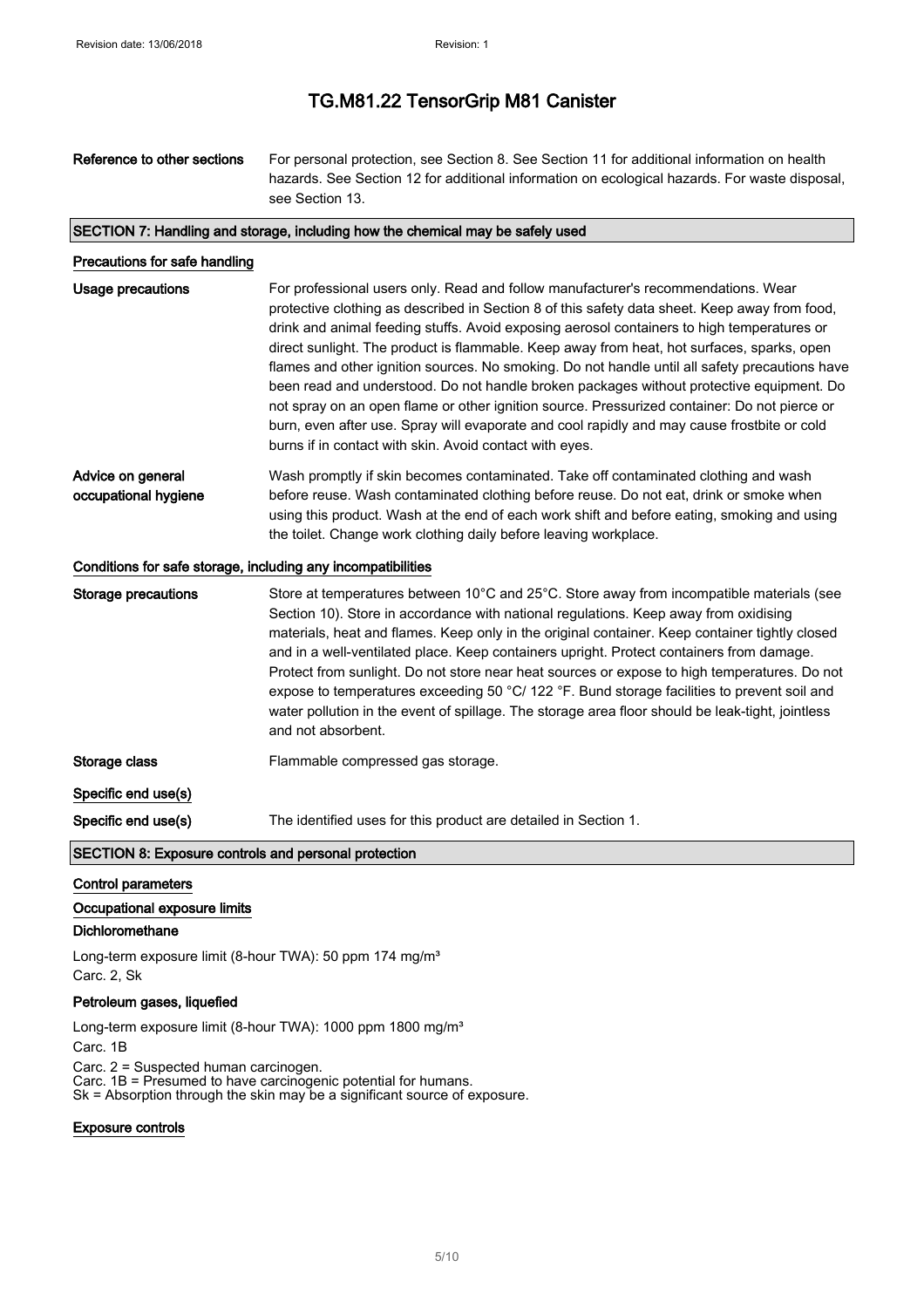| Reference to other sections                                  | For personal protection, see Section 8. See Section 11 for additional information on health<br>hazards. See Section 12 for additional information on ecological hazards. For waste disposal,<br>see Section 13.                                                                                                                                                                                                                                                                                                                                                                                                                                                                                                                                                                                                                        |
|--------------------------------------------------------------|----------------------------------------------------------------------------------------------------------------------------------------------------------------------------------------------------------------------------------------------------------------------------------------------------------------------------------------------------------------------------------------------------------------------------------------------------------------------------------------------------------------------------------------------------------------------------------------------------------------------------------------------------------------------------------------------------------------------------------------------------------------------------------------------------------------------------------------|
|                                                              | SECTION 7: Handling and storage, including how the chemical may be safely used                                                                                                                                                                                                                                                                                                                                                                                                                                                                                                                                                                                                                                                                                                                                                         |
| Precautions for safe handling                                |                                                                                                                                                                                                                                                                                                                                                                                                                                                                                                                                                                                                                                                                                                                                                                                                                                        |
| <b>Usage precautions</b>                                     | For professional users only. Read and follow manufacturer's recommendations. Wear<br>protective clothing as described in Section 8 of this safety data sheet. Keep away from food,<br>drink and animal feeding stuffs. Avoid exposing aerosol containers to high temperatures or<br>direct sunlight. The product is flammable. Keep away from heat, hot surfaces, sparks, open<br>flames and other ignition sources. No smoking. Do not handle until all safety precautions have<br>been read and understood. Do not handle broken packages without protective equipment. Do<br>not spray on an open flame or other ignition source. Pressurized container: Do not pierce or<br>burn, even after use. Spray will evaporate and cool rapidly and may cause frostbite or cold<br>burns if in contact with skin. Avoid contact with eyes. |
| Advice on general<br>occupational hygiene                    | Wash promptly if skin becomes contaminated. Take off contaminated clothing and wash<br>before reuse. Wash contaminated clothing before reuse. Do not eat, drink or smoke when<br>using this product. Wash at the end of each work shift and before eating, smoking and using<br>the toilet. Change work clothing daily before leaving workplace.                                                                                                                                                                                                                                                                                                                                                                                                                                                                                       |
| Conditions for safe storage, including any incompatibilities |                                                                                                                                                                                                                                                                                                                                                                                                                                                                                                                                                                                                                                                                                                                                                                                                                                        |
| <b>Storage precautions</b>                                   | Store at temperatures between 10°C and 25°C. Store away from incompatible materials (see<br>Section 10). Store in accordance with national regulations. Keep away from oxidising<br>materials, heat and flames. Keep only in the original container. Keep container tightly closed<br>and in a well-ventilated place. Keep containers upright. Protect containers from damage.<br>Protect from sunlight. Do not store near heat sources or expose to high temperatures. Do not<br>expose to temperatures exceeding 50 °C/ 122 °F. Bund storage facilities to prevent soil and<br>water pollution in the event of spillage. The storage area floor should be leak-tight, jointless<br>and not absorbent.                                                                                                                                |
| Storage class                                                | Flammable compressed gas storage.                                                                                                                                                                                                                                                                                                                                                                                                                                                                                                                                                                                                                                                                                                                                                                                                      |
| Specific end use(s)                                          |                                                                                                                                                                                                                                                                                                                                                                                                                                                                                                                                                                                                                                                                                                                                                                                                                                        |
| Specific end use(s)                                          | The identified uses for this product are detailed in Section 1.                                                                                                                                                                                                                                                                                                                                                                                                                                                                                                                                                                                                                                                                                                                                                                        |

### SECTION 8: Exposure controls and personal protection

#### Control parameters

### Occupational exposure limits

### Dichloromethane

Long-term exposure limit (8-hour TWA): 50 ppm 174 mg/m<sup>3</sup> Carc. 2, Sk

#### Petroleum gases, liquefied

Long-term exposure limit (8-hour TWA): 1000 ppm 1800 mg/m<sup>3</sup>

Carc. 1B

Carc. 2 = Suspected human carcinogen.

Carc. 1B = Presumed to have carcinogenic potential for humans.

Sk = Absorption through the skin may be a significant source of exposure.

#### Exposure controls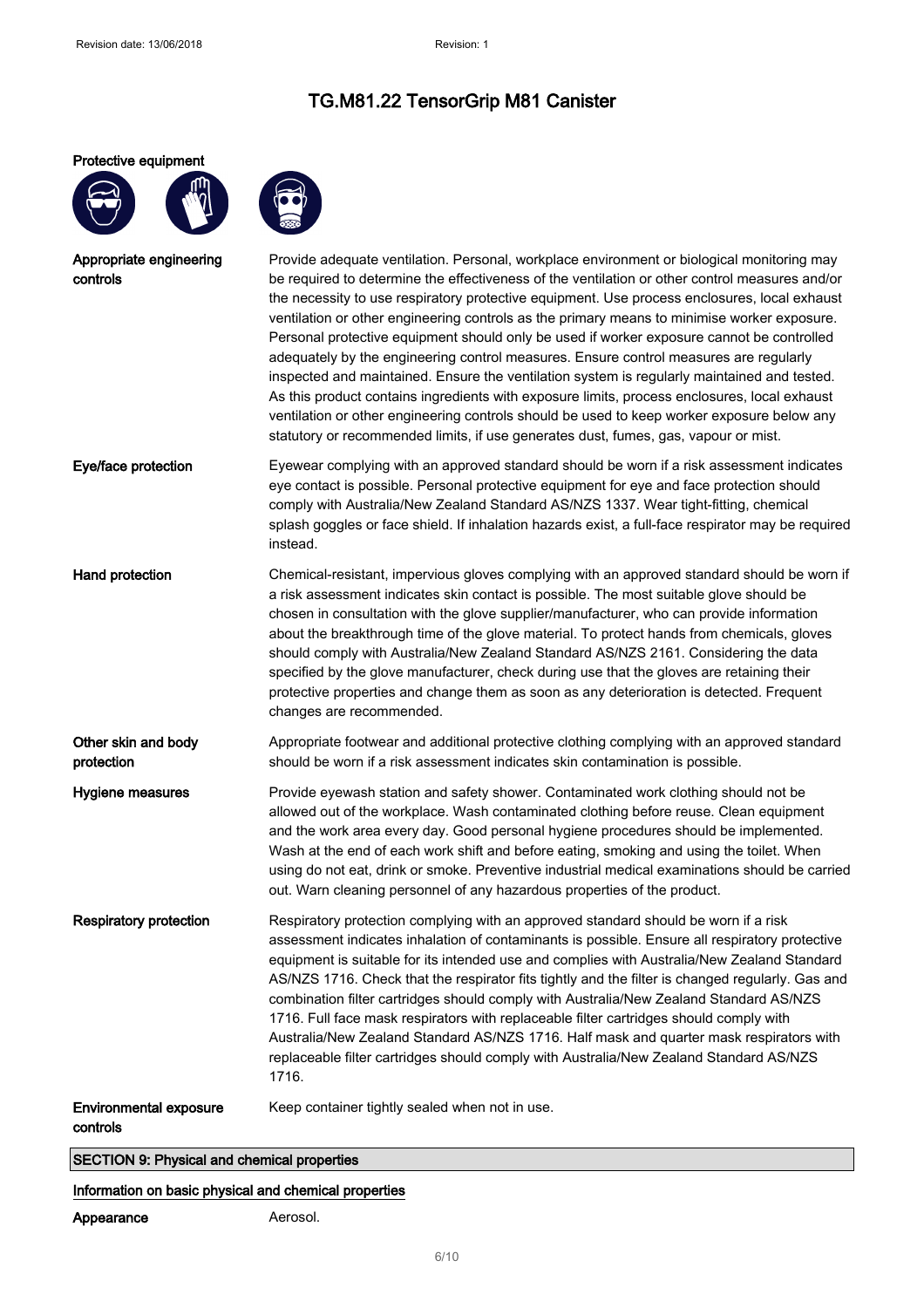#### Protective equipment





| Appropriate engineering<br>controls       | Provide adequate ventilation. Personal, workplace environment or biological monitoring may<br>be required to determine the effectiveness of the ventilation or other control measures and/or<br>the necessity to use respiratory protective equipment. Use process enclosures, local exhaust<br>ventilation or other engineering controls as the primary means to minimise worker exposure.<br>Personal protective equipment should only be used if worker exposure cannot be controlled<br>adequately by the engineering control measures. Ensure control measures are regularly<br>inspected and maintained. Ensure the ventilation system is regularly maintained and tested.<br>As this product contains ingredients with exposure limits, process enclosures, local exhaust<br>ventilation or other engineering controls should be used to keep worker exposure below any<br>statutory or recommended limits, if use generates dust, fumes, gas, vapour or mist. |
|-------------------------------------------|-----------------------------------------------------------------------------------------------------------------------------------------------------------------------------------------------------------------------------------------------------------------------------------------------------------------------------------------------------------------------------------------------------------------------------------------------------------------------------------------------------------------------------------------------------------------------------------------------------------------------------------------------------------------------------------------------------------------------------------------------------------------------------------------------------------------------------------------------------------------------------------------------------------------------------------------------------------------------|
| Eye/face protection                       | Eyewear complying with an approved standard should be worn if a risk assessment indicates<br>eye contact is possible. Personal protective equipment for eye and face protection should<br>comply with Australia/New Zealand Standard AS/NZS 1337. Wear tight-fitting, chemical<br>splash goggles or face shield. If inhalation hazards exist, a full-face respirator may be required<br>instead.                                                                                                                                                                                                                                                                                                                                                                                                                                                                                                                                                                      |
| Hand protection                           | Chemical-resistant, impervious gloves complying with an approved standard should be worn if<br>a risk assessment indicates skin contact is possible. The most suitable glove should be<br>chosen in consultation with the glove supplier/manufacturer, who can provide information<br>about the breakthrough time of the glove material. To protect hands from chemicals, gloves<br>should comply with Australia/New Zealand Standard AS/NZS 2161. Considering the data<br>specified by the glove manufacturer, check during use that the gloves are retaining their<br>protective properties and change them as soon as any deterioration is detected. Frequent<br>changes are recommended.                                                                                                                                                                                                                                                                          |
| Other skin and body<br>protection         | Appropriate footwear and additional protective clothing complying with an approved standard<br>should be worn if a risk assessment indicates skin contamination is possible.                                                                                                                                                                                                                                                                                                                                                                                                                                                                                                                                                                                                                                                                                                                                                                                          |
| Hygiene measures                          | Provide eyewash station and safety shower. Contaminated work clothing should not be<br>allowed out of the workplace. Wash contaminated clothing before reuse. Clean equipment<br>and the work area every day. Good personal hygiene procedures should be implemented.<br>Wash at the end of each work shift and before eating, smoking and using the toilet. When<br>using do not eat, drink or smoke. Preventive industrial medical examinations should be carried<br>out. Warn cleaning personnel of any hazardous properties of the product.                                                                                                                                                                                                                                                                                                                                                                                                                       |
| <b>Respiratory protection</b>             | Respiratory protection complying with an approved standard should be worn if a risk<br>assessment indicates inhalation of contaminants is possible. Ensure all respiratory protective<br>equipment is suitable for its intended use and complies with Australia/New Zealand Standard<br>AS/NZS 1716. Check that the respirator fits tightly and the filter is changed regularly. Gas and<br>combination filter cartridges should comply with Australia/New Zealand Standard AS/NZS<br>1716. Full face mask respirators with replaceable filter cartridges should comply with<br>Australia/New Zealand Standard AS/NZS 1716. Half mask and quarter mask respirators with<br>replaceable filter cartridges should comply with Australia/New Zealand Standard AS/NZS<br>1716.                                                                                                                                                                                            |
| <b>Environmental exposure</b><br>controls | Keep container tightly sealed when not in use.                                                                                                                                                                                                                                                                                                                                                                                                                                                                                                                                                                                                                                                                                                                                                                                                                                                                                                                        |

SECTION 9: Physical and chemical properties

### Information on basic physical and chemical properties

Appearance **Aerosol.**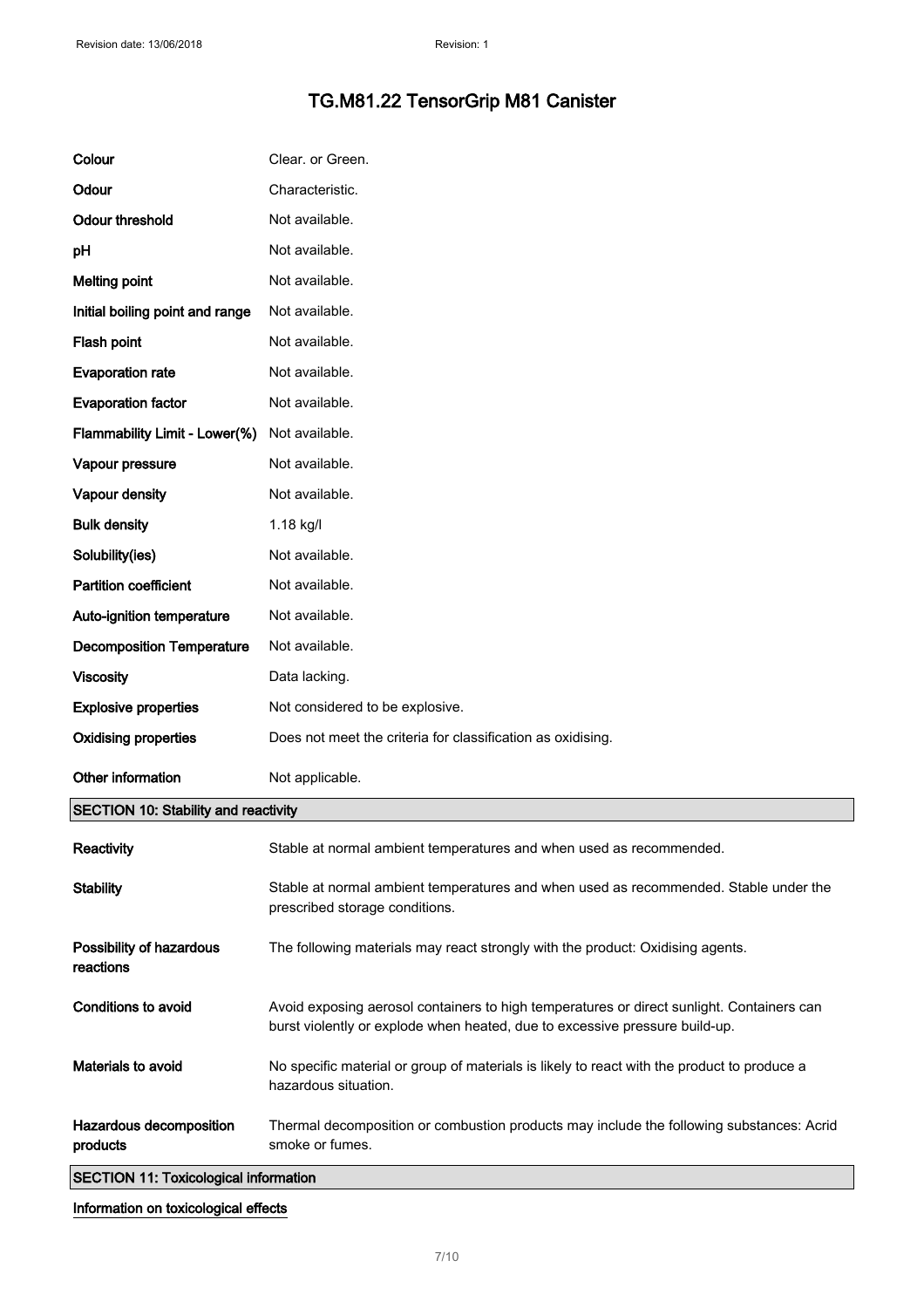| Colour                                       | Clear. or Green.                                                                                                                                                         |
|----------------------------------------------|--------------------------------------------------------------------------------------------------------------------------------------------------------------------------|
| Odour                                        | Characteristic.                                                                                                                                                          |
| <b>Odour threshold</b>                       | Not available.                                                                                                                                                           |
| pH                                           | Not available.                                                                                                                                                           |
| <b>Melting point</b>                         | Not available.                                                                                                                                                           |
| Initial boiling point and range              | Not available.                                                                                                                                                           |
| Flash point                                  | Not available.                                                                                                                                                           |
| <b>Evaporation rate</b>                      | Not available.                                                                                                                                                           |
| <b>Evaporation factor</b>                    | Not available.                                                                                                                                                           |
| Flammability Limit - Lower(%)                | Not available.                                                                                                                                                           |
| Vapour pressure                              | Not available.                                                                                                                                                           |
| Vapour density                               | Not available.                                                                                                                                                           |
| <b>Bulk density</b>                          | 1.18 kg/l                                                                                                                                                                |
| Solubility(ies)                              | Not available.                                                                                                                                                           |
| <b>Partition coefficient</b>                 | Not available.                                                                                                                                                           |
| Auto-ignition temperature                    | Not available.                                                                                                                                                           |
| <b>Decomposition Temperature</b>             | Not available.                                                                                                                                                           |
| <b>Viscosity</b>                             | Data lacking.                                                                                                                                                            |
| <b>Explosive properties</b>                  | Not considered to be explosive.                                                                                                                                          |
| <b>Oxidising properties</b>                  | Does not meet the criteria for classification as oxidising.                                                                                                              |
| Other information                            | Not applicable.                                                                                                                                                          |
| <b>SECTION 10: Stability and reactivity</b>  |                                                                                                                                                                          |
| Reactivity                                   | Stable at normal ambient temperatures and when used as recommended.                                                                                                      |
| <b>Stability</b>                             | Stable at normal ambient temperatures and when used as recommended. Stable under the<br>prescribed storage conditions.                                                   |
| Possibility of hazardous<br>reactions        | The following materials may react strongly with the product: Oxidising agents.                                                                                           |
| <b>Conditions to avoid</b>                   | Avoid exposing aerosol containers to high temperatures or direct sunlight. Containers can<br>burst violently or explode when heated, due to excessive pressure build-up. |
| Materials to avoid                           | No specific material or group of materials is likely to react with the product to produce a<br>hazardous situation.                                                      |
| Hazardous decomposition<br>products          | Thermal decomposition or combustion products may include the following substances: Acrid<br>smoke or fumes.                                                              |
| <b>SECTION 11: Toxicological information</b> |                                                                                                                                                                          |

Information on toxicological effects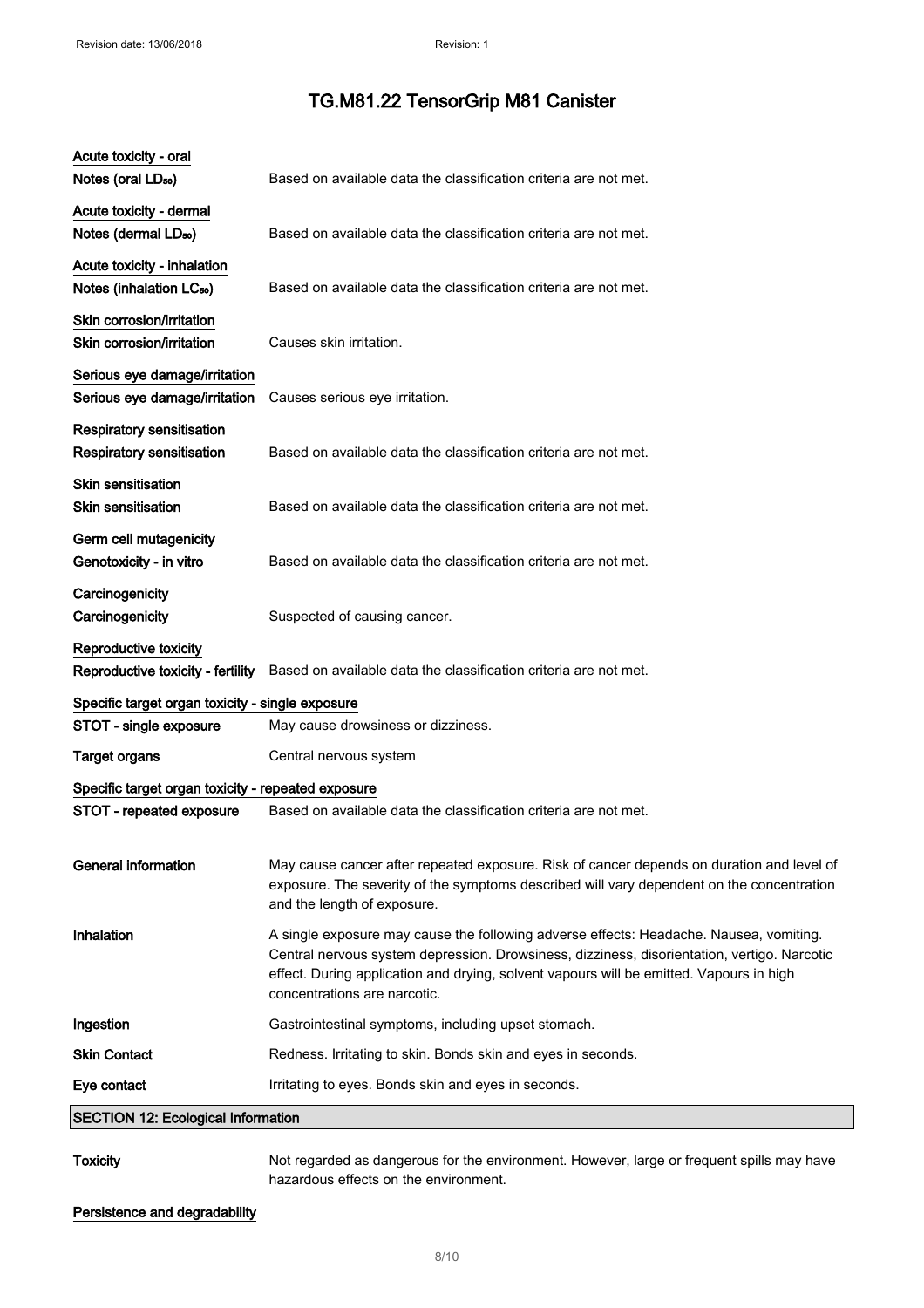| <b>Toxicity</b>                                                     | Not regarded as dangerous for the environment. However, large or frequent spills may have                                                                                                                                                                                                                        |
|---------------------------------------------------------------------|------------------------------------------------------------------------------------------------------------------------------------------------------------------------------------------------------------------------------------------------------------------------------------------------------------------|
| <b>SECTION 12: Ecological Information</b>                           |                                                                                                                                                                                                                                                                                                                  |
| Eye contact                                                         | Irritating to eyes. Bonds skin and eyes in seconds.                                                                                                                                                                                                                                                              |
| <b>Skin Contact</b>                                                 | Redness. Irritating to skin. Bonds skin and eyes in seconds.                                                                                                                                                                                                                                                     |
| Ingestion                                                           | Gastrointestinal symptoms, including upset stomach.                                                                                                                                                                                                                                                              |
| Inhalation                                                          | A single exposure may cause the following adverse effects: Headache. Nausea, vomiting.<br>Central nervous system depression. Drowsiness, dizziness, disorientation, vertigo. Narcotic<br>effect. During application and drying, solvent vapours will be emitted. Vapours in high<br>concentrations are narcotic. |
| <b>General information</b>                                          | May cause cancer after repeated exposure. Risk of cancer depends on duration and level of<br>exposure. The severity of the symptoms described will vary dependent on the concentration<br>and the length of exposure.                                                                                            |
| STOT - repeated exposure                                            | Based on available data the classification criteria are not met.                                                                                                                                                                                                                                                 |
| Specific target organ toxicity - repeated exposure                  |                                                                                                                                                                                                                                                                                                                  |
| <b>Target organs</b>                                                | Central nervous system                                                                                                                                                                                                                                                                                           |
| STOT - single exposure                                              | May cause drowsiness or dizziness.                                                                                                                                                                                                                                                                               |
| Specific target organ toxicity - single exposure                    |                                                                                                                                                                                                                                                                                                                  |
| Reproductive toxicity<br>Reproductive toxicity - fertility          | Based on available data the classification criteria are not met.                                                                                                                                                                                                                                                 |
| Carcinogenicity<br>Carcinogenicity                                  | Suspected of causing cancer.                                                                                                                                                                                                                                                                                     |
| Germ cell mutagenicity<br>Genotoxicity - in vitro                   | Based on available data the classification criteria are not met.                                                                                                                                                                                                                                                 |
| Skin sensitisation<br><b>Skin sensitisation</b>                     | Based on available data the classification criteria are not met.                                                                                                                                                                                                                                                 |
| Respiratory sensitisation<br>Respiratory sensitisation              | Based on available data the classification criteria are not met.                                                                                                                                                                                                                                                 |
| Serious eye damage/irritation<br>Serious eye damage/irritation      | Causes serious eye irritation.                                                                                                                                                                                                                                                                                   |
| Skin corrosion/irritation<br>Skin corrosion/irritation              | Causes skin irritation.                                                                                                                                                                                                                                                                                          |
| Acute toxicity - inhalation<br>Notes (inhalation LC <sub>50</sub> ) | Based on available data the classification criteria are not met.                                                                                                                                                                                                                                                 |
| Acute toxicity - dermal<br>Notes (dermal LD <sub>50</sub> )         | Based on available data the classification criteria are not met.                                                                                                                                                                                                                                                 |
| Acute toxicity - oral<br>Notes (oral LD <sub>50</sub> )             | Based on available data the classification criteria are not met.                                                                                                                                                                                                                                                 |

Persistence and degradability

hazardous effects on the environment.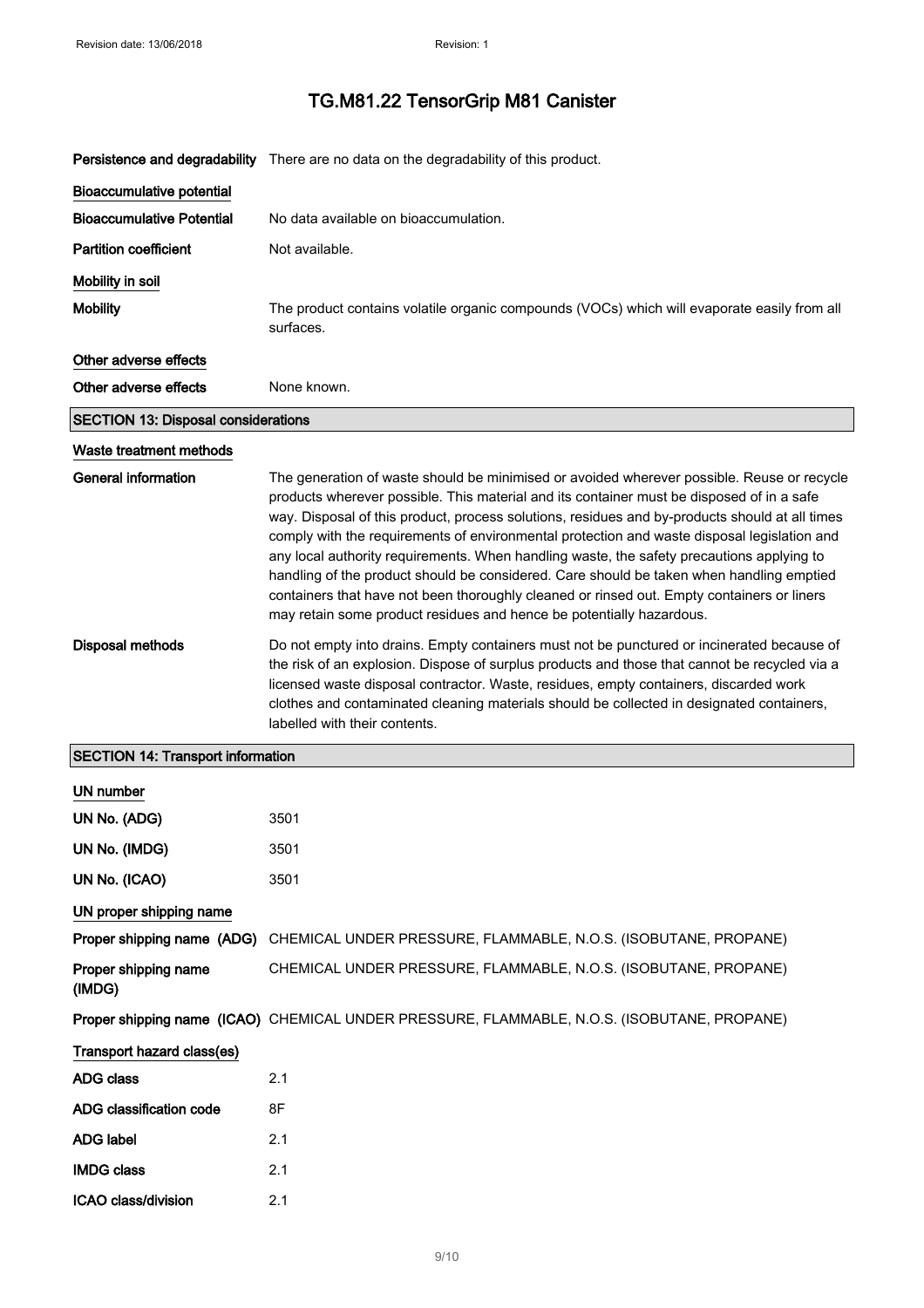|                                            | Persistence and degradability There are no data on the degradability of this product.                                                                                                                                                                                                                                                                                                                                                                                                                                                                                                                                                                                                                                                                   |  |
|--------------------------------------------|---------------------------------------------------------------------------------------------------------------------------------------------------------------------------------------------------------------------------------------------------------------------------------------------------------------------------------------------------------------------------------------------------------------------------------------------------------------------------------------------------------------------------------------------------------------------------------------------------------------------------------------------------------------------------------------------------------------------------------------------------------|--|
| <b>Bioaccumulative potential</b>           |                                                                                                                                                                                                                                                                                                                                                                                                                                                                                                                                                                                                                                                                                                                                                         |  |
| <b>Bioaccumulative Potential</b>           | No data available on bioaccumulation.                                                                                                                                                                                                                                                                                                                                                                                                                                                                                                                                                                                                                                                                                                                   |  |
| <b>Partition coefficient</b>               | Not available.                                                                                                                                                                                                                                                                                                                                                                                                                                                                                                                                                                                                                                                                                                                                          |  |
| Mobility in soil                           |                                                                                                                                                                                                                                                                                                                                                                                                                                                                                                                                                                                                                                                                                                                                                         |  |
| <b>Mobility</b>                            | The product contains volatile organic compounds (VOCs) which will evaporate easily from all<br>surfaces.                                                                                                                                                                                                                                                                                                                                                                                                                                                                                                                                                                                                                                                |  |
| Other adverse effects                      |                                                                                                                                                                                                                                                                                                                                                                                                                                                                                                                                                                                                                                                                                                                                                         |  |
| Other adverse effects                      | None known.                                                                                                                                                                                                                                                                                                                                                                                                                                                                                                                                                                                                                                                                                                                                             |  |
| <b>SECTION 13: Disposal considerations</b> |                                                                                                                                                                                                                                                                                                                                                                                                                                                                                                                                                                                                                                                                                                                                                         |  |
| Waste treatment methods                    |                                                                                                                                                                                                                                                                                                                                                                                                                                                                                                                                                                                                                                                                                                                                                         |  |
| General information                        | The generation of waste should be minimised or avoided wherever possible. Reuse or recycle<br>products wherever possible. This material and its container must be disposed of in a safe<br>way. Disposal of this product, process solutions, residues and by-products should at all times<br>comply with the requirements of environmental protection and waste disposal legislation and<br>any local authority requirements. When handling waste, the safety precautions applying to<br>handling of the product should be considered. Care should be taken when handling emptied<br>containers that have not been thoroughly cleaned or rinsed out. Empty containers or liners<br>may retain some product residues and hence be potentially hazardous. |  |
| <b>Disposal methods</b>                    | Do not empty into drains. Empty containers must not be punctured or incinerated because of<br>the risk of an explosion. Dispose of surplus products and those that cannot be recycled via a<br>licensed waste disposal contractor. Waste, residues, empty containers, discarded work<br>clothes and contaminated cleaning materials should be collected in designated containers,<br>labelled with their contents.                                                                                                                                                                                                                                                                                                                                      |  |
| <b>SECTION 14: Transport information</b>   |                                                                                                                                                                                                                                                                                                                                                                                                                                                                                                                                                                                                                                                                                                                                                         |  |
| <b>UN number</b>                           |                                                                                                                                                                                                                                                                                                                                                                                                                                                                                                                                                                                                                                                                                                                                                         |  |
| UN No. (ADG)                               | 3501                                                                                                                                                                                                                                                                                                                                                                                                                                                                                                                                                                                                                                                                                                                                                    |  |
| UN No. (IMDG)                              | 3501                                                                                                                                                                                                                                                                                                                                                                                                                                                                                                                                                                                                                                                                                                                                                    |  |
| UN No. (ICAO)                              | 3501                                                                                                                                                                                                                                                                                                                                                                                                                                                                                                                                                                                                                                                                                                                                                    |  |
| UN proper shipping name                    |                                                                                                                                                                                                                                                                                                                                                                                                                                                                                                                                                                                                                                                                                                                                                         |  |
| Proper shipping name (ADG)                 | CHEMICAL UNDER PRESSURE, FLAMMABLE, N.O.S. (ISOBUTANE, PROPANE)                                                                                                                                                                                                                                                                                                                                                                                                                                                                                                                                                                                                                                                                                         |  |
| Proper shipping name<br>(IMDG)             | CHEMICAL UNDER PRESSURE, FLAMMABLE, N.O.S. (ISOBUTANE, PROPANE)                                                                                                                                                                                                                                                                                                                                                                                                                                                                                                                                                                                                                                                                                         |  |
|                                            | Proper shipping name (ICAO) CHEMICAL UNDER PRESSURE, FLAMMABLE, N.O.S. (ISOBUTANE, PROPANE)                                                                                                                                                                                                                                                                                                                                                                                                                                                                                                                                                                                                                                                             |  |
| Transport hazard class(es)                 |                                                                                                                                                                                                                                                                                                                                                                                                                                                                                                                                                                                                                                                                                                                                                         |  |
| <b>ADG class</b>                           | 2.1                                                                                                                                                                                                                                                                                                                                                                                                                                                                                                                                                                                                                                                                                                                                                     |  |
| ADG classification code                    | 8F                                                                                                                                                                                                                                                                                                                                                                                                                                                                                                                                                                                                                                                                                                                                                      |  |
| <b>ADG label</b>                           | 2.1                                                                                                                                                                                                                                                                                                                                                                                                                                                                                                                                                                                                                                                                                                                                                     |  |
| <b>IMDG class</b>                          | 2.1                                                                                                                                                                                                                                                                                                                                                                                                                                                                                                                                                                                                                                                                                                                                                     |  |
| ICAO class/division                        | 2.1                                                                                                                                                                                                                                                                                                                                                                                                                                                                                                                                                                                                                                                                                                                                                     |  |